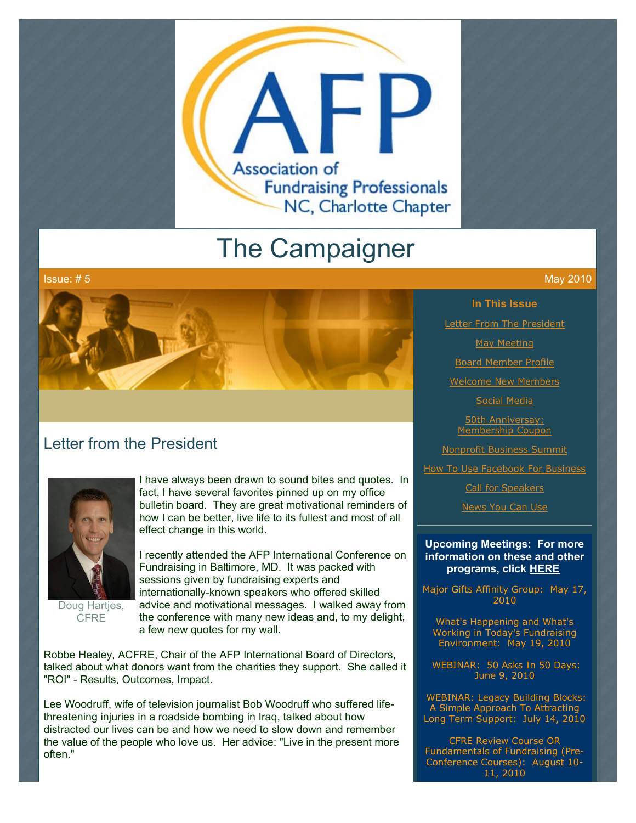

# The Campaigner



### Letter from the President



Doug Hartjes, **CFRE** 

I have always been drawn to sound bites and quotes. In fact, I have several favorites pinned up on my office bulletin board. They are great motivational reminders of how I can be better, live life to its fullest and most of all effect change in this world.

I recently attended the AFP International Conference on Fundraising in Baltimore, MD. It was packed with sessions given by fundraising experts and internationally-known speakers who offered skilled advice and motivational messages. I walked away from the conference with many new ideas and, to my delight, a few new quotes for my wall.

Robbe Healey, ACFRE, Chair of the AFP International Board of Directors, talked about what donors want from the charities they support. She called it "ROI" - Results, Outcomes, Impact.

Lee Woodruff, wife of television journalist Bob Woodruff who suffered lifethreatening injuries in a roadside bombing in Iraq, talked about how distracted our lives can be and how we need to slow down and remember the value of the people who love us. Her advice: "Live in the present more often."

**In This Issue**

**[Letter From The President](http://archive.constantcontact.com/fs051/1101610725496/archive/1103368704131.html#LETTER.BLOCK6)** 

[May Meeting](http://archive.constantcontact.com/fs051/1101610725496/archive/1103368704131.html#LETTER.BLOCK8)

[Board Member Profile](http://archive.constantcontact.com/fs051/1101610725496/archive/1103368704131.html#LETTER.BLOCK10)

[Welcome New Members](http://archive.constantcontact.com/fs051/1101610725496/archive/1103368704131.html#LETTER.BLOCK12)

[Social Media](http://archive.constantcontact.com/fs051/1101610725496/archive/1103368704131.html#LETTER.BLOCK14)

50th Anniversay: [Membership Coupon](http://archive.constantcontact.com/fs051/1101610725496/archive/1103368704131.html#LETTER.BLOCK16)

[Nonprofit Business Summit](http://archive.constantcontact.com/fs051/1101610725496/archive/1103368704131.html#LETTER.BLOCK18)

[How To Use Facebook For Business](http://archive.constantcontact.com/fs051/1101610725496/archive/1103368704131.html#LETTER.BLOCK40)

[Call for Speakers](http://archive.constantcontact.com/fs051/1101610725496/archive/1103368704131.html#LETTER.BLOCK20)

[News You Can Use](http://archive.constantcontact.com/fs051/1101610725496/archive/1103368704131.html#LETTER.BLOCK22)

#### **Upcoming Meetings: For more information on these and other programs, click [HERE](http://www.afp-charlotte.org/rsvp.html)**

Major Gifts Affinity Group: May 17, 2010

What's Happening and What's Working in Today's Fundraising Environment: May 19, 2010

 WEBINAR: 50 Asks In 50 Days: June 9, 2010

 WEBINAR: Legacy Building Blocks: A Simple Approach To Attracting Long Term Support: July 14, 2010

CFRE Review Course OR Fundamentals of Fundraising (Pre-Conference Courses): August 10- 11, 2010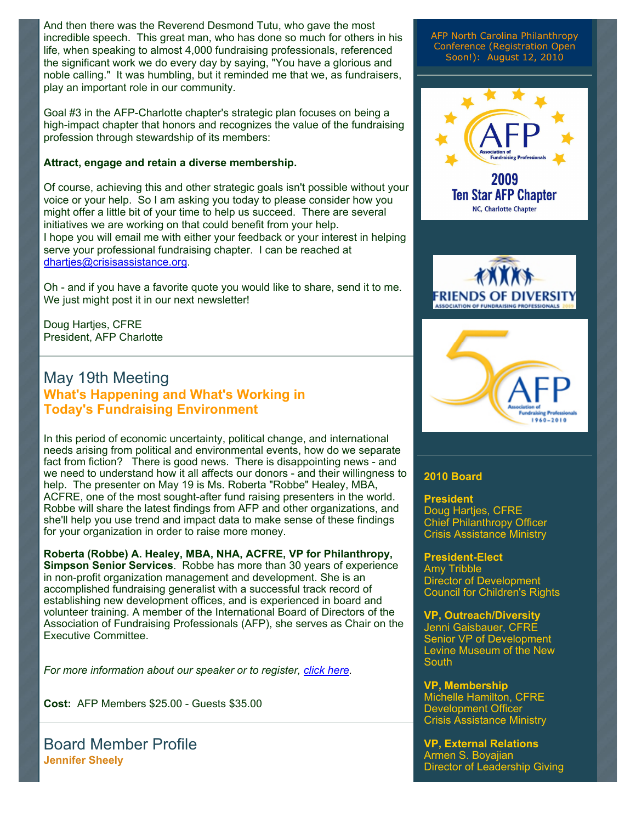And then there was the Reverend Desmond Tutu, who gave the most incredible speech. This great man, who has done so much for others in his life, when speaking to almost 4,000 fundraising professionals, referenced the significant work we do every day by saying, "You have a glorious and noble calling." It was humbling, but it reminded me that we, as fundraisers, play an important role in our community.

Goal #3 in the AFP-Charlotte chapter's strategic plan focuses on being a high-impact chapter that honors and recognizes the value of the fundraising profession through stewardship of its members:

#### **Attract, engage and retain a diverse membership.**

Of course, achieving this and other strategic goals isn't possible without your voice or your help. So I am asking you today to please consider how you might offer a little bit of your time to help us succeed. There are several initiatives we are working on that could benefit from your help. I hope you will email me with either your feedback or your interest in helping serve your professional fundraising chapter. I can be reached at [dhartjes@crisisassistance.org](mailto:dhartjes@crisisassistance.org).

Oh - and if you have a favorite quote you would like to share, send it to me. We just might post it in our next newsletter!

Doug Hartjes, CFRE President, AFP Charlotte

### May 19th Meeting **What's Happening and What's Working in Today's Fundraising Environment**

In this period of economic uncertainty, political change, and international needs arising from political and environmental events, how do we separate fact from fiction? There is good news. There is disappointing news - and we need to understand how it all affects our donors - and their willingness to help. The presenter on May 19 is Ms. Roberta "Robbe" Healey, MBA, ACFRE, one of the most sought-after fund raising presenters in the world. Robbe will share the latest findings from AFP and other organizations, and she'll help you use trend and impact data to make sense of these findings for your organization in order to raise more money.

**Roberta (Robbe) A. Healey, MBA, NHA, ACFRE, VP for Philanthropy, Simpson Senior Services**. Robbe has more than 30 years of experience in non-profit organization management and development. She is an accomplished fundraising generalist with a successful track record of establishing new development offices, and is experienced in board and volunteer training. A member of the International Board of Directors of the Association of Fundraising Professionals (AFP), she serves as Chair on the Executive Committee.

*For more information about our speaker or to register, [click here](http://http//www.afp-charlotte.org/rsvp_details.html?id=2818).* 

**Cost:** AFP Members \$25.00 - Guests \$35.00

Board Member Profile **Jennifer Sheely**

AFP North Carolina Philanthropy Conference (Registration Open Soon!): August 12, 2010







#### **2010 Board**

**President** Doug Hartjes, CFRE Chief Philanthropy Officer Crisis Assistance Ministry

#### **President-Elect**

Amy Tribble Director of Development Council for Children's Rights

#### **VP, Outreach/Diversity**

Jenni Gaisbauer, CFRE Senior VP of Development Levine Museum of the New **South** 

**VP, Membership** Michelle Hamilton, CFRE Development Officer Crisis Assistance Ministry

**VP, External Relations** Armen S. Boyajian Director of Leadership Giving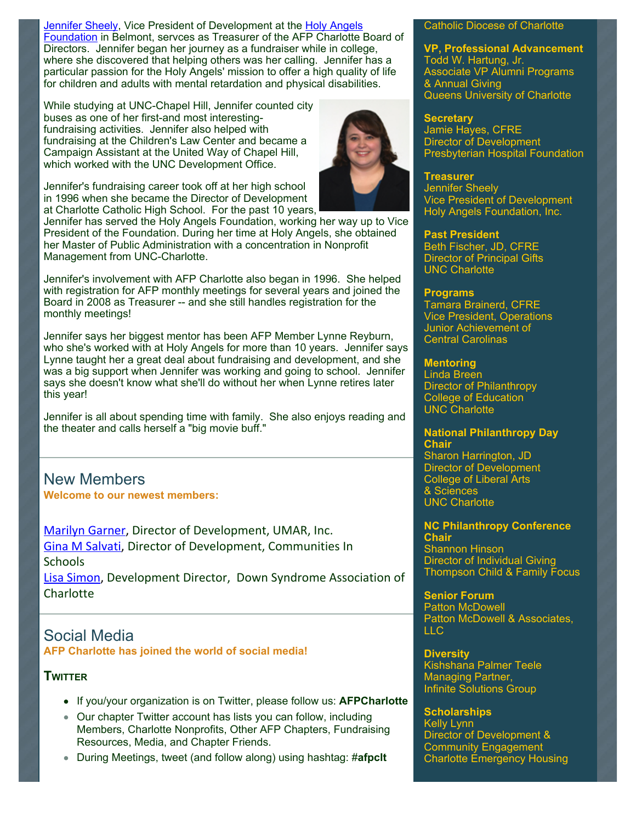[Jennifer Sheely,](mailto:jennifers@holyangelsnc.org) Vice President of Development at the Holy Angels [Foundation in Belmont, servces as Treasurer of the AFP Charlotte B](http://www.holyangelsnc.org/)oard of Directors. Jennifer began her journey as a fundraiser while in college, where she discovered that helping others was her calling. Jennifer has a particular passion for the Holy Angels' mission to offer a high quality of life for children and adults with mental retardation and physical disabilities.

While studying at UNC-Chapel Hill, Jennifer counted city buses as one of her first-and most interestingfundraising activities. Jennifer also helped with fundraising at the Children's Law Center and became a Campaign Assistant at the United Way of Chapel Hill, which worked with the UNC Development Office.

Jennifer's fundraising career took off at her high school in 1996 when she became the Director of Development at Charlotte Catholic High School. For the past 10 years,

Jennifer has served the Holy Angels Foundation, working her way up to Vice President of the Foundation. During her time at Holy Angels, she obtained her Master of Public Administration with a concentration in Nonprofit Management from UNC-Charlotte.

Jennifer's involvement with AFP Charlotte also began in 1996. She helped with registration for AFP monthly meetings for several years and joined the Board in 2008 as Treasurer -- and she still handles registration for the monthly meetings!

Jennifer says her biggest mentor has been AFP Member Lynne Reyburn, who she's worked with at Holy Angels for more than 10 years. Jennifer says Lynne taught her a great deal about fundraising and development, and she was a big support when Jennifer was working and going to school. Jennifer says she doesn't know what she'll do without her when Lynne retires later this year!

Jennifer is all about spending time with family. She also enjoys reading and the theater and calls herself a "big movie buff."

New Members **Welcome to our newest members:**

Marilyn Garner, Director of Development, UMAR, Inc. Gina M Salvati, Director of Development, Communities In **Schools** Lisa Simon, Development Director, Down Syndrome Association of

Charlotte

### Social Media **AFP Charlotte has joined the world of social media!**

### **TWITTER**

- If you/your organization is on Twitter, please follow us: **AFPCharlotte**
- Our chapter Twitter account has lists you can follow, including Members, Charlotte Nonprofits, Other AFP Chapters, Fundraising Resources, Media, and Chapter Friends.
- During Meetings, tweet (and follow along) using hashtag: #**afpclt**

#### Catholic Diocese of Charlotte

**VP, Professional Advancement** Todd W. Hartung, Jr. Associate VP Alumni Programs & Annual Giving Queens University of Charlotte

#### **Secretary**

Jamie Hayes, CFRE Director of Development Presbyterian Hospital Foundation

#### **Treasurer**

Jennifer Sheely Vice President of Development Holy Angels Foundation, Inc.

#### **Past President**

Beth Fischer, JD, CFRE Director of Principal Gifts UNC Charlotte

#### **Programs**

Tamara Brainerd, CFRE Vice President, Operations Junior Achievement of Central Carolinas

### **Mentoring**

Linda Breen Director of Philanthropy College of Education UNC Charlotte

#### **National Philanthropy Day Chair**

Sharon Harrington, JD Director of Development College of Liberal Arts & Sciences UNC Charlotte

#### **NC Philanthropy Conference Chair** Shannon Hinson

Director of Individual Giving Thompson Child & Family Focus

**Senior Forum**  Patton McDowell Patton McDowell & Associates, LLC

**Diversity**  Kishshana Palmer Teele Managing Partner, Infinite Solutions Group

#### **Scholarships**

Kelly Lynn Director of Development & Community Engagement Charlotte Emergency Housing

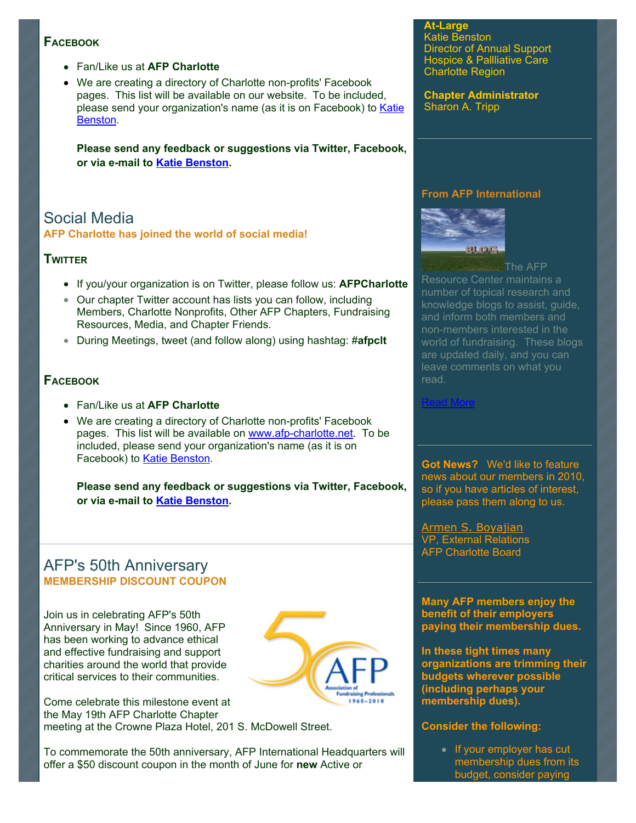#### **FACEBOOK**

- Fan/Like us at **AFP Charlotte**
- We are creating a directory of Charlotte non-profits' Facebook pages. This list will be available on our website. To be included, [please send your organization's name \(as it is on Facebook\) to Katie](mailto:benstonk@hpccr.org) Benston.

**Please send any feedback or suggestions via Twitter, Facebook, or via e-mail to [Katie Benston](mailto:benstonk@hpccr.org).**

### Social Media **AFP Charlotte has joined the world of social media!**

### **TWITTER**

- If you/your organization is on Twitter, please follow us: **AFPCharlotte**
- Our chapter Twitter account has lists you can follow, including Members, Charlotte Nonprofits, Other AFP Chapters, Fundraising Resources, Media, and Chapter Friends.
- During Meetings, tweet (and follow along) using hashtag: #**afpclt**

### **FACEBOOK**

- Fan/Like us at **AFP Charlotte**
- We are creating a directory of Charlotte non-profits' Facebook pages. This list will be available on [www.afp-charlotte.net.](http://www.afp-charlotte.net/) To be included, please send your organization's name (as it is on Facebook) to [Katie Benston.](mailto:benstonk@hpccr.org)

**Please send any feedback or suggestions via Twitter, Facebook, or via e-mail to [Katie Benston](mailto:benstonk@hpccr.org).**

### AFP's 50th Anniversary **MEMBERSHIP DISCOUNT COUPON**

Join us in celebrating AFP's 50th Anniversary in May! Since 1960, AFP has been working to advance ethical and effective fundraising and support charities around the world that provide critical services to their communities.



Come celebrate this milestone event at the May 19th AFP Charlotte Chapter meeting at the Crowne Plaza Hotel, 201 S. McDowell Street.

To commemorate the 50th anniversary, AFP International Headquarters will offer a \$50 discount coupon in the month of June for **new** Active or

**At-Large** Katie Benston Director of Annual Support Hospice & Pallliative Care Charlotte Region

**Chapter Administrator** Sharon A. Tripp

#### **From AFP International**



The AFP Resource Center maintains a number of topical research and knowledge blogs to assist, guide, and inform both members and non-members interested in the world of fundraising. These blogs are updated daily, and you can leave comments on what you read.

[Read More](http://www.afpnet.org/ResourceCenter/content.cfm?ItemNumber=3092&navItemNumber=548)

**Got News?** We'd like to feature news about our members in 2010, so if you have articles of interest, please pass them along to us.

[Armen S. Boyajian](mailto:asboyajian@charlottediocese.org) VP, External Relations AFP Charlotte Board

**Many AFP members enjoy the benefit of their employers paying their membership dues.**

**In these tight times many organizations are trimming their budgets wherever possible (including perhaps your membership dues).** 

#### **Consider the following:**

• If your employer has cut membership dues from its budget, consider paying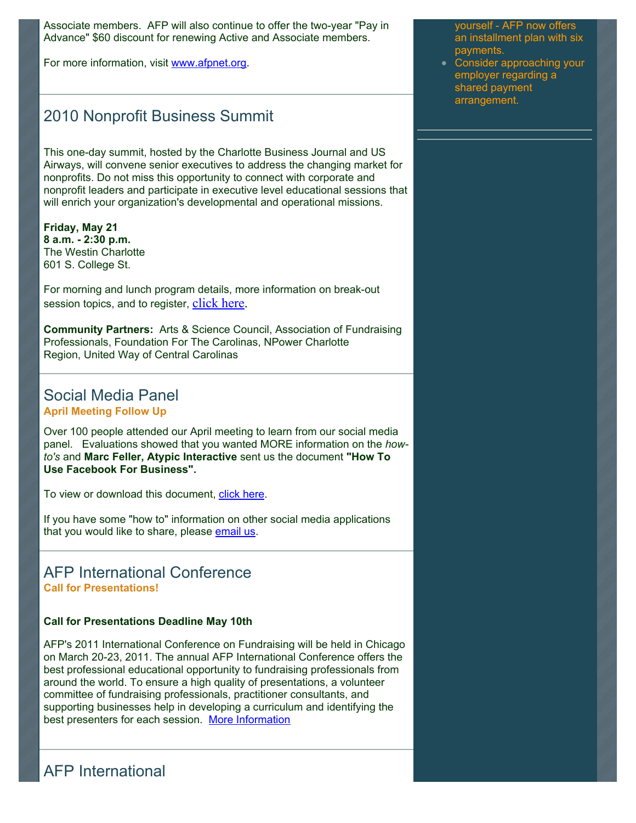Associate members. AFP will also continue to offer the two-year "Pay in Advance" \$60 discount for renewing Active and Associate members.

For more information, visit [www.afpnet.org.](http://www.afpnet.org/)

### 2010 Nonprofit Business Summit

This one-day summit, hosted by the Charlotte Business Journal and US Airways, will convene senior executives to address the changing market for nonprofits. Do not miss this opportunity to connect with corporate and nonprofit leaders and participate in executive level educational sessions that will enrich your organization's developmental and operational missions.

**Friday, May 21 8 a.m. - 2:30 p.m.** The Westin Charlotte 601 S. College St.

For morning and lunch program details, more information on break-out session topics, and to register, [click here.](http://cl.exct.net/?ju=fe2c1674706c0d79771570&ls=fdf310797660027575107675&m=fefe1372746106&l=fe9a167277660c7974&s=fe0415737164017974177170&jb=ffcf14&t=)

**Community Partners:** Arts & Science Council, Association of Fundraising Professionals, Foundation For The Carolinas, NPower Charlotte Region, United Way of Central Carolinas

### Social Media Panel **April Meeting Follow Up**

Over 100 people attended our April meeting to learn from our social media panel. Evaluations showed that you wanted MORE information on the *howto's* and **Marc Feller, Atypic Interactive** sent us the document **"How To Use Facebook For Business".**

To view or download this document, [click here.](http://www.afp-charlotte.org/customers/102012921065393/filemanager/facebook_1.pdf)

If you have some "how to" information on other social media applications that you would like to share, please [email us.](mailto:info@afp-charlotte.org)

### AFP International Conference **Call for Presentations!**

#### **Call for Presentations Deadline May 10th**

AFP's 2011 International Conference on Fundraising will be held in Chicago on March 20-23, 2011. The annual AFP International Conference offers the best professional educational opportunity to fundraising professionals from around the world. To ensure a high quality of presentations, a volunteer committee of fundraising professionals, practitioner consultants, and supporting businesses help in developing a curriculum and identifying the best presenters for each session. [More Information](https://www.goeshow.com/afp/annual/2011/proposal.cfm)

yourself - AFP now offers an installment plan with six payments.

Consider approaching your employer regarding a shared payment arrangement.

AFP International